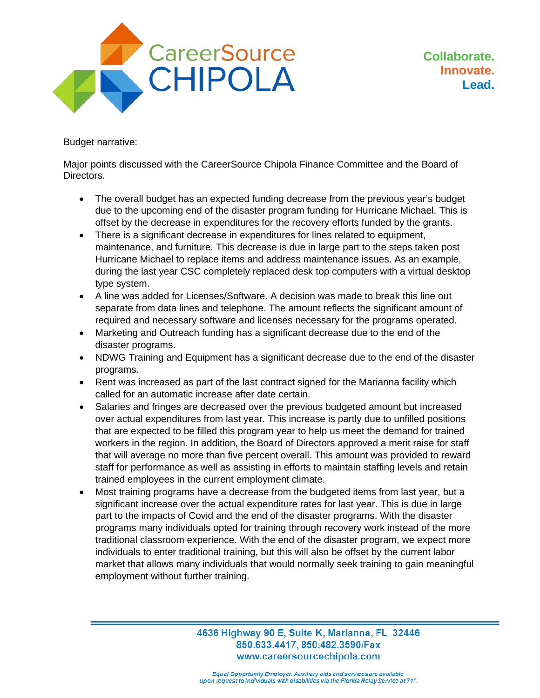

Budget narrative:

Major points discussed with the CareerSource Chipola Finance Committee and the Board of Directors.

- The overall budget has an expected funding decrease from the previous year's budget due to the upcoming end of the disaster program funding for Hurricane Michael. This is offset by the decrease in expenditures for the recovery efforts funded by the grants.
- There is a significant decrease in expenditures for lines related to equipment, maintenance, and furniture. This decrease is due in large part to the steps taken post Hurricane Michael to replace items and address maintenance issues. As an example, during the last year CSC completely replaced desk top computers with a virtual desktop type system.
- A line was added for Licenses/Software. A decision was made to break this line out separate from data lines and telephone. The amount reflects the significant amount of required and necessary software and licenses necessary for the programs operated.
- Marketing and Outreach funding has a significant decrease due to the end of the disaster programs.
- NDWG Training and Equipment has a significant decrease due to the end of the disaster programs.
- Rent was increased as part of the last contract signed for the Marianna facility which called for an automatic increase after date certain.
- Salaries and fringes are decreased over the previous budgeted amount but increased over actual expenditures from last year. This increase is partly due to unfilled positions that are expected to be filled this program year to help us meet the demand for trained workers in the region. In addition, the Board of Directors approved a merit raise for staff that will average no more than five percent overall. This amount was provided to reward staff for performance as well as assisting in efforts to maintain staffing levels and retain trained employees in the current employment climate.
- Most training programs have a decrease from the budgeted items from last year, but a significant increase over the actual expenditure rates for last year. This is due in large part to the impacts of Covid and the end of the disaster programs. With the disaster programs many individuals opted for training through recovery work instead of the more traditional classroom experience. With the end of the disaster program, we expect more individuals to enter traditional training, but this will also be offset by the current labor market that allows many individuals that would normally seek training to gain meaningful employment without further training.

4636 Highway 90 E, Suite K, Marianna, FL 32446 850.633.4417, 850.482.3590/Fax www.careersourcechipola.com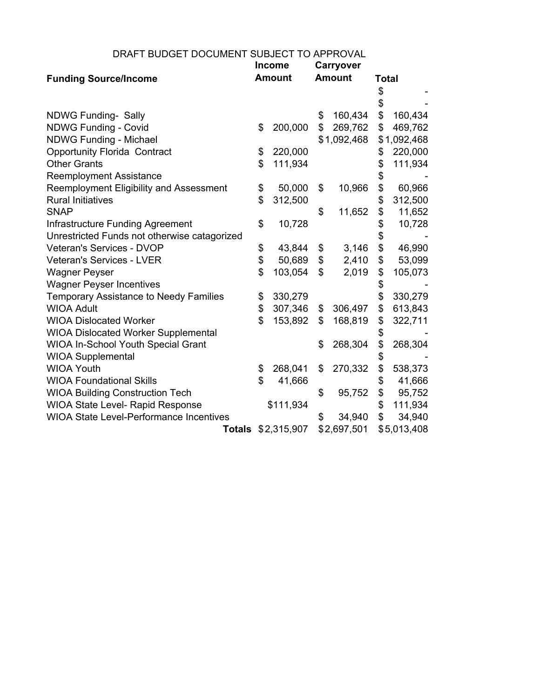| DRAFT BUDGET DOCUMENT SUBJECT TO APPROVAL |
|-------------------------------------------|
|-------------------------------------------|

|                                                | <b>Income</b> |                           | Carryover     |             |       |             |  |
|------------------------------------------------|---------------|---------------------------|---------------|-------------|-------|-------------|--|
| <b>Funding Source/Income</b>                   | <b>Amount</b> |                           | <b>Amount</b> |             | Total |             |  |
|                                                |               |                           |               |             | \$    |             |  |
|                                                |               |                           |               |             | \$    |             |  |
| <b>NDWG Funding- Sally</b>                     |               |                           | \$            | 160,434     | \$    | 160,434     |  |
| <b>NDWG Funding - Covid</b>                    | \$            | 200,000                   | \$            | 269,762     | \$    | 469,762     |  |
| <b>NDWG Funding - Michael</b>                  |               |                           |               | \$1,092,468 |       | \$1,092,468 |  |
| <b>Opportunity Florida Contract</b>            | \$            | 220,000                   |               |             | \$    | 220,000     |  |
| <b>Other Grants</b>                            | \$            | 111,934                   |               |             | \$    | 111,934     |  |
| <b>Reemployment Assistance</b>                 |               |                           |               |             | \$    |             |  |
| Reemployment Eligibility and Assessment        | \$            | 50,000                    | \$            | 10,966      | \$    | 60,966      |  |
| <b>Rural Initiatives</b>                       | \$            | 312,500                   |               |             | \$    | 312,500     |  |
| <b>SNAP</b>                                    |               |                           | \$            | 11,652      | \$    | 11,652      |  |
| Infrastructure Funding Agreement               | \$            | 10,728                    |               |             | \$    | 10,728      |  |
| Unrestricted Funds not otherwise catagorized   |               |                           |               |             | \$    |             |  |
| <b>Veteran's Services - DVOP</b>               | \$            | 43,844                    | \$            | 3,146       | \$    | 46,990      |  |
| <b>Veteran's Services - LVER</b>               | \$            | 50,689                    | \$            | 2,410       | \$    | 53,099      |  |
| <b>Wagner Peyser</b>                           | \$            | 103,054                   | \$            | 2,019       | \$    | 105,073     |  |
| <b>Wagner Peyser Incentives</b>                |               |                           |               |             | \$    |             |  |
| <b>Temporary Assistance to Needy Families</b>  | \$            | 330,279                   |               |             | \$    | 330,279     |  |
| <b>WIOA Adult</b>                              | \$            | 307,346                   | \$            | 306,497     | \$    | 613,843     |  |
| <b>WIOA Dislocated Worker</b>                  | \$            | 153,892                   | \$            | 168,819     | \$    | 322,711     |  |
| <b>WIOA Dislocated Worker Supplemental</b>     |               |                           |               |             | \$    |             |  |
| WIOA In-School Youth Special Grant             |               |                           | \$            | 268,304     | \$    | 268,304     |  |
| <b>WIOA Supplemental</b>                       |               |                           |               |             | \$    |             |  |
| <b>WIOA Youth</b>                              | \$            | 268,041                   | \$            | 270,332     | \$    | 538,373     |  |
| <b>WIOA Foundational Skills</b>                | \$            | 41,666                    |               |             | \$    | 41,666      |  |
| <b>WIOA Building Construction Tech</b>         |               |                           | \$            | 95,752      | \$    | 95,752      |  |
| <b>WIOA State Level- Rapid Response</b>        |               | \$111,934                 |               |             | \$    | 111,934     |  |
| <b>WIOA State Level-Performance Incentives</b> |               |                           | \$            | 34,940      | \$    | 34,940      |  |
|                                                |               | <b>Totals \$2,315,907</b> |               | \$2,697,501 |       | \$5,013,408 |  |